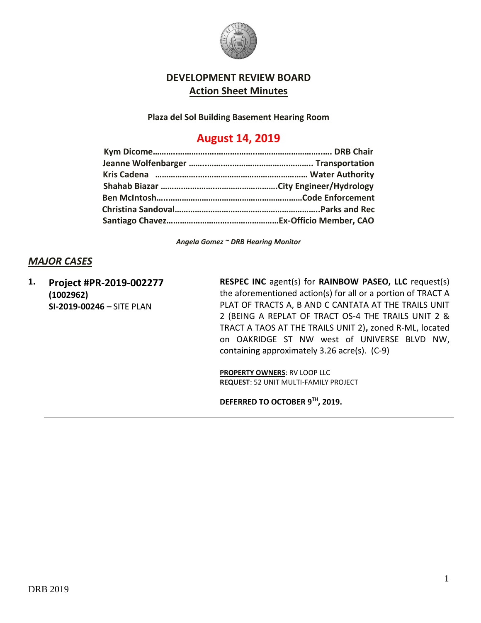

## **DEVELOPMENT REVIEW BOARD Action Sheet Minutes**

**Plaza del Sol Building Basement Hearing Room**

# **August 14, 2019**

*Angela Gomez ~ DRB Hearing Monitor*

## *MAJOR CASES*

**1. Project #PR-2019-002277 (1002962) SI-2019-00246 –** SITE PLAN

**RESPEC INC** agent(s) for **RAINBOW PASEO, LLC** request(s) the aforementioned action(s) for all or a portion of TRACT A PLAT OF TRACTS A, B AND C CANTATA AT THE TRAILS UNIT 2 (BEING A REPLAT OF TRACT OS-4 THE TRAILS UNIT 2 & TRACT A TAOS AT THE TRAILS UNIT 2)**,** zoned R-ML, located on OAKRIDGE ST NW west of UNIVERSE BLVD NW, containing approximately 3.26 acre(s). (C-9)

**PROPERTY OWNERS**: RV LOOP LLC **REQUEST**: 52 UNIT MULTI-FAMILY PROJECT

**DEFERRED TO OCTOBER 9TH, 2019.**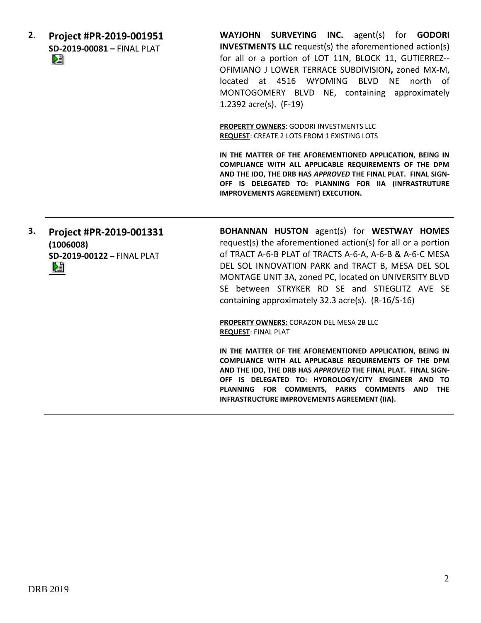**2**. **Project #PR-2019-001951 SD-2019-00081 –** FINAL PLAT DJ

**WAYJOHN SURVEYING INC.** agent(s) for **GODORI INVESTMENTS LLC** request(s) the aforementioned action(s) for all or a portion of LOT 11N, BLOCK 11, GUTIERREZ-- OFIMIANO J LOWER TERRACE SUBDIVISION**,** zoned MX-M, located at 4516 WYOMING BLVD NE north of MONTOGOMERY BLVD NE, containing approximately 1.2392 acre(s). (F-19)

**PROPERTY OWNERS**: GODORI INVESTMENTS LLC **REQUEST**: CREATE 2 LOTS FROM 1 EXISTING LOTS

**IN THE MATTER OF THE AFOREMENTIONED APPLICATION, BEING IN COMPLIANCE WITH ALL APPLICABLE REQUIREMENTS OF THE DPM AND THE IDO, THE DRB HAS** *APPROVED* **THE FINAL PLAT. FINAL SIGN-OFF IS DELEGATED TO: PLANNING FOR IIA (INFRASTRUTURE IMPROVEMENTS AGREEMENT) EXECUTION.**

**3. Project #PR-2019-001331 (1006008) SD-2019-00122** – FINAL PLAT

**BOHANNAN HUSTON** agent(s) for **WESTWAY HOMES** request(s) the aforementioned action(s) for all or a portion of TRACT A-6-B PLAT of TRACTS A-6-A, A-6-B & A-6-C MESA DEL SOL INNOVATION PARK and TRACT B, MESA DEL SOL MONTAGE UNIT 3A, zoned PC, located on UNIVERSITY BLVD SE between STRYKER RD SE and STIEGLITZ AVE SE containing approximately 32.3 acre(s). (R-16/S-16)

**PROPERTY OWNERS:** CORAZON DEL MESA 2B LLC **REQUEST**: FINAL PLAT

**IN THE MATTER OF THE AFOREMENTIONED APPLICATION, BEING IN COMPLIANCE WITH ALL APPLICABLE REQUIREMENTS OF THE DPM AND THE IDO, THE DRB HAS** *APPROVED* **THE FINAL PLAT. FINAL SIGN-OFF IS DELEGATED TO: HYDROLOGY/CITY ENGINEER AND TO PLANNING FOR COMMENTS, PARKS COMMENTS AND THE INFRASTRUCTURE IMPROVEMENTS AGREEMENT (IIA).**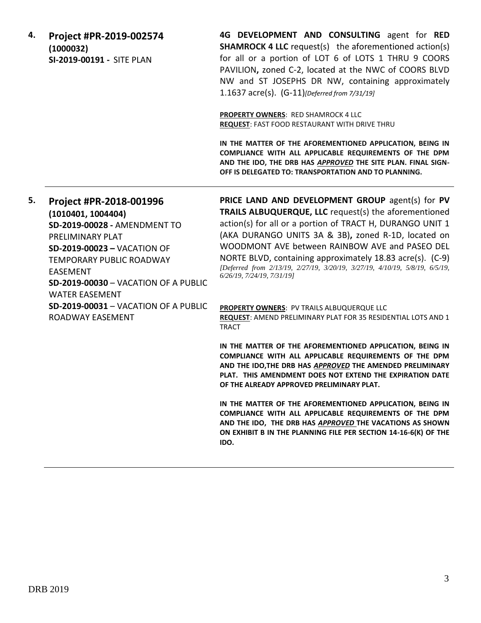| 4. | Project #PR-2019-002574<br>(1000032)<br>SI-2019-00191 - SITE PLAN | 4G DEVELOPMENT AND CONSULTING agent for RED<br><b>SHAMROCK 4 LLC</b> request(s) the aforementioned action(s)<br>for all or a portion of LOT 6 of LOTS 1 THRU 9 COORS<br>PAVILION, zoned C-2, located at the NWC of COORS BLVD<br>NW and ST JOSEPHS DR NW, containing approximately<br>1.1637 $\arccos 0$ . (G-11) [Deferred from 7/31/19] |
|----|-------------------------------------------------------------------|-------------------------------------------------------------------------------------------------------------------------------------------------------------------------------------------------------------------------------------------------------------------------------------------------------------------------------------------|
|    |                                                                   | <b>PROPERTY OWNERS: RED SHAMROCK 4 LLC</b><br><b>REQUEST: FAST FOOD RESTAURANT WITH DRIVE THRU</b>                                                                                                                                                                                                                                        |
|    |                                                                   | IN THE MATTER OF THE AFOREMENTIONED APPLICATION, BEING IN<br>COMPLIANCE WITH ALL APPLICABLE REQUIREMENTS OF THE DPM<br>AND THE IDO, THE DRB HAS APPROVED THE SITE PLAN. FINAL SIGN-<br>OFF IS DELEGATED TO: TRANSPORTATION AND TO PLANNING.                                                                                               |

**5. Project #PR-2018-001996 (1010401, 1004404) SD-2019-00028 -** AMENDMENT TO PRELIMINARY PLAT **SD-2019-00023 –** VACATION OF TEMPORARY PUBLIC ROADWAY EASEMENT **SD-2019-00030** – VACATION OF A PUBLIC WATER EASEMENT **PRICE LAND AND DEVELOPMENT GROUP** agent(s) for **PV TRAILS ALBUQUERQUE, LLC** request(s) the aforementioned action(s) for all or a portion of TRACT H, DURANGO UNIT 1 (AKA DURANGO UNITS 3A & 3B)**,** zoned R-1D, located on WOODMONT AVE between RAINBOW AVE and PASEO DEL NORTE BLVD, containing approximately 18.83 acre(s). (C-9) *[Deferred from 2/13/19, 2/27/19, 3/20/19, 3/27/19, 4/10/19, 5/8/19, 6/5/19, 6/26/19, 7/24/19, 7/31/19]*

**SD-2019-00031** – VACATION OF A PUBLIC

ROADWAY EASEMENT

**PROPERTY OWNERS**: PV TRAILS ALBUQUERQUE LLC **REQUEST**: AMEND PRELIMINARY PLAT FOR 35 RESIDENTIAL LOTS AND 1 TRACT

**IN THE MATTER OF THE AFOREMENTIONED APPLICATION, BEING IN COMPLIANCE WITH ALL APPLICABLE REQUIREMENTS OF THE DPM AND THE IDO,THE DRB HAS** *APPROVED* **THE AMENDED PRELIMINARY PLAT. THIS AMENDMENT DOES NOT EXTEND THE EXPIRATION DATE OF THE ALREADY APPROVED PRELIMINARY PLAT.**

**IN THE MATTER OF THE AFOREMENTIONED APPLICATION, BEING IN COMPLIANCE WITH ALL APPLICABLE REQUIREMENTS OF THE DPM AND THE IDO, THE DRB HAS** *APPROVED* **THE VACATIONS AS SHOWN ON EXHIBIT B IN THE PLANNING FILE PER SECTION 14-16-6(K) OF THE IDO.**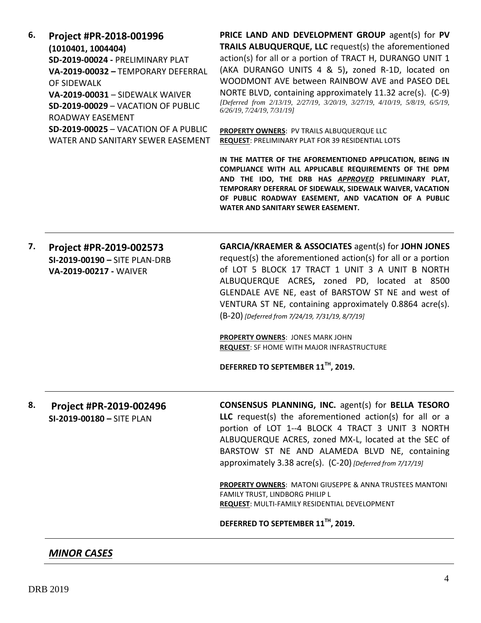| 6. | Project #PR-2018-001996<br>(1010401, 1004404)<br>SD-2019-00024 - PRELIMINARY PLAT<br>VA-2019-00032 - TEMPORARY DEFERRAL<br>OF SIDEWALK<br>VA-2019-00031 - SIDEWALK WAIVER<br>SD-2019-00029 - VACATION OF PUBLIC<br>ROADWAY EASEMENT<br>SD-2019-00025 - VACATION OF A PUBLIC<br>WATER AND SANITARY SEWER EASEMENT | PRICE LAND AND DEVELOPMENT GROUP agent(s) for PV<br>TRAILS ALBUQUERQUE, LLC request(s) the aforementioned<br>action(s) for all or a portion of TRACT H, DURANGO UNIT 1<br>(AKA DURANGO UNITS 4 & 5), zoned R-1D, located on<br>WOODMONT AVE between RAINBOW AVE and PASEO DEL<br>NORTE BLVD, containing approximately 11.32 acre(s). (C-9)<br>[Deferred from 2/13/19, 2/27/19, 3/20/19, 3/27/19, 4/10/19, 5/8/19, 6/5/19,<br>6/26/19, 7/24/19, 7/31/19]<br><b>PROPERTY OWNERS: PV TRAILS ALBUQUERQUE LLC</b><br>REQUEST: PRELIMINARY PLAT FOR 39 RESIDENTIAL LOTS<br>IN THE MATTER OF THE AFOREMENTIONED APPLICATION, BEING IN<br>COMPLIANCE WITH ALL APPLICABLE REQUIREMENTS OF THE DPM<br>AND THE IDO, THE DRB HAS APPROVED PRELIMINARY PLAT,<br>TEMPORARY DEFERRAL OF SIDEWALK, SIDEWALK WAIVER, VACATION<br>OF PUBLIC ROADWAY EASEMENT, AND VACATION OF A PUBLIC<br>WATER AND SANITARY SEWER EASEMENT. |
|----|------------------------------------------------------------------------------------------------------------------------------------------------------------------------------------------------------------------------------------------------------------------------------------------------------------------|------------------------------------------------------------------------------------------------------------------------------------------------------------------------------------------------------------------------------------------------------------------------------------------------------------------------------------------------------------------------------------------------------------------------------------------------------------------------------------------------------------------------------------------------------------------------------------------------------------------------------------------------------------------------------------------------------------------------------------------------------------------------------------------------------------------------------------------------------------------------------------------------------------|
| 7. | Project #PR-2019-002573<br>SI-2019-00190 - SITE PLAN-DRB<br>VA-2019-00217 - WAIVER                                                                                                                                                                                                                               | <b>GARCIA/KRAEMER &amp; ASSOCIATES agent(s) for JOHN JONES</b><br>request(s) the aforementioned action(s) for all or a portion<br>of LOT 5 BLOCK 17 TRACT 1 UNIT 3 A UNIT B NORTH<br>ALBUQUERQUE ACRES, zoned PD, located at 8500<br>GLENDALE AVE NE, east of BARSTOW ST NE and west of<br>VENTURA ST NE, containing approximately 0.8864 acre(s).<br>(B-20) [Deferred from 7/24/19, 7/31/19, 8/7/19]<br><b>PROPERTY OWNERS: JONES MARK JOHN</b><br><b>REQUEST:</b> SF HOME WITH MAJOR INFRASTRUCTURE<br>DEFERRED TO SEPTEMBER 11 <sup>TH</sup> , 2019.                                                                                                                                                                                                                                                                                                                                                    |
| 8. | Project #PR-2019-002496<br>SI-2019-00180 - SITE PLAN                                                                                                                                                                                                                                                             | <b>CONSENSUS PLANNING, INC. agent(s) for BELLA TESORO</b><br>LLC request(s) the aforementioned action(s) for all or a<br>portion of LOT 1--4 BLOCK 4 TRACT 3 UNIT 3 NORTH<br>ALBUQUERQUE ACRES, zoned MX-L, located at the SEC of<br>BARSTOW ST NE AND ALAMEDA BLVD NE, containing<br>approximately 3.38 acre(s). (C-20) [Deferred from 7/17/19]<br>PROPERTY OWNERS: MATONI GIUSEPPE & ANNA TRUSTEES MANTONI<br>FAMILY TRUST, LINDBORG PHILIP L<br>REQUEST: MULTI-FAMILY RESIDENTIAL DEVELOPMENT<br>DEFERRED TO SEPTEMBER 11TH, 2019.                                                                                                                                                                                                                                                                                                                                                                      |

*MINOR CASES*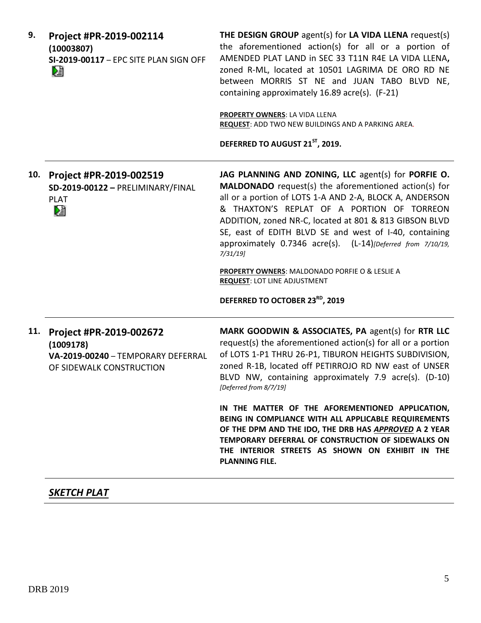| 9.  | Project #PR-2019-002114<br>(10003807)<br>SI-2019-00117 - EPC SITE PLAN SIGN OFF<br>M                   | THE DESIGN GROUP agent(s) for LA VIDA LLENA request(s)<br>the aforementioned action(s) for all or a portion of<br>AMENDED PLAT LAND in SEC 33 T11N R4E LA VIDA LLENA,<br>zoned R-ML, located at 10501 LAGRIMA DE ORO RD NE<br>between MORRIS ST NE and JUAN TABO BLVD NE,<br>containing approximately 16.89 acre(s). (F-21)<br>PROPERTY OWNERS: LA VIDA LLENA<br>REQUEST: ADD TWO NEW BUILDINGS AND A PARKING AREA.<br>DEFERRED TO AUGUST 21 <sup>ST</sup> , 2019.                                                                                                 |
|-----|--------------------------------------------------------------------------------------------------------|--------------------------------------------------------------------------------------------------------------------------------------------------------------------------------------------------------------------------------------------------------------------------------------------------------------------------------------------------------------------------------------------------------------------------------------------------------------------------------------------------------------------------------------------------------------------|
| 10. | Project #PR-2019-002519<br>SD-2019-00122 - PRELIMINARY/FINAL<br><b>PLAT</b><br>N                       | JAG PLANNING AND ZONING, LLC agent(s) for PORFIE O.<br><b>MALDONADO</b> request(s) the aforementioned action(s) for<br>all or a portion of LOTS 1-A AND 2-A, BLOCK A, ANDERSON<br>& THAXTON'S REPLAT OF A PORTION OF TORREON<br>ADDITION, zoned NR-C, located at 801 & 813 GIBSON BLVD<br>SE, east of EDITH BLVD SE and west of I-40, containing<br>approximately 0.7346 acre(s). (L-14)[Deferred from 7/10/19,<br>7/31/19<br>PROPERTY OWNERS: MALDONADO PORFIE O & LESLIE A<br><b>REQUEST: LOT LINE ADJUSTMENT</b><br>DEFERRED TO OCTOBER 23 <sup>RD</sup> , 2019 |
| 11. | Project #PR-2019-002672<br>(1009178)<br>VA-2019-00240 - TEMPORARY DEFERRAL<br>OF SIDEWALK CONSTRUCTION | MARK GOODWIN & ASSOCIATES, PA agent(s) for RTR LLC<br>request(s) the aforementioned action(s) for all or a portion<br>of LOTS 1-P1 THRU 26-P1, TIBURON HEIGHTS SUBDIVISION,<br>zoned R-1B, located off PETIRROJO RD NW east of UNSER<br>BLVD NW, containing approximately 7.9 acre(s). (D-10)<br>[Deferred from 8/7/19]                                                                                                                                                                                                                                            |
|     |                                                                                                        | IN THE MATTER OF THE AFOREMENTIONED APPLICATION,<br>BEING IN COMPLIANCE WITH ALL APPLICABLE REQUIREMENTS<br>OF THE DPM AND THE IDO, THE DRB HAS APPROVED A 2 YEAR<br>TEMPORARY DEFERRAL OF CONSTRUCTION OF SIDEWALKS ON<br>THE INTERIOR STREETS AS SHOWN ON EXHIBIT IN THE<br><b>PLANNING FILE.</b>                                                                                                                                                                                                                                                                |

## *SKETCH PLAT*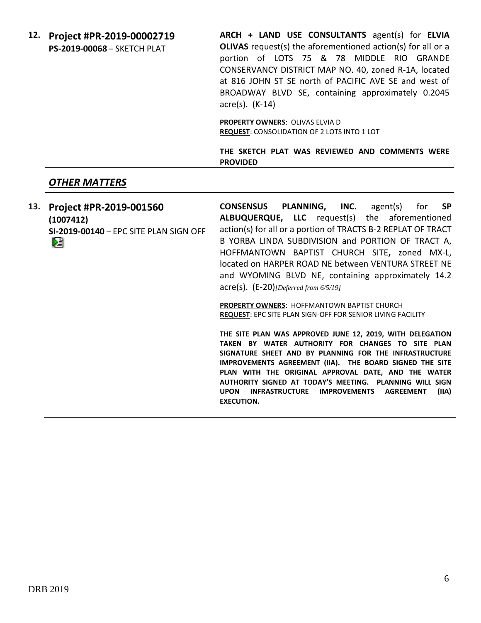**12. Project #PR-2019-00002719 PS-2019-00068** – SKETCH PLAT

**ARCH + LAND USE CONSULTANTS** agent(s) for **ELVIA OLIVAS** request(s) the aforementioned action(s) for all or a portion of LOTS 75 & 78 MIDDLE RIO GRANDE CONSERVANCY DISTRICT MAP NO. 40, zoned R-1A, located at 816 JOHN ST SE north of PACIFIC AVE SE and west of BROADWAY BLVD SE, containing approximately 0.2045 acre(s). (K-14)

**PROPERTY OWNERS**: OLIVAS ELVIA D **REQUEST**: CONSOLIDATION OF 2 LOTS INTO 1 LOT

**THE SKETCH PLAT WAS REVIEWED AND COMMENTS WERE PROVIDED**

#### *OTHER MATTERS*

**13. Project #PR-2019-001560 CONSENSUS PLANNING, INC.** agent(s) for **SP ALBUQUERQUE, LLC** request(s) the aforementioned **(1007412)** action(s) for all or a portion of TRACTS B-2 REPLAT OF TRACT **SI-2019-00140** – EPC SITE PLAN SIGN OFF B YORBA LINDA SUBDIVISION and PORTION OF TRACT A, Dà HOFFMANTOWN BAPTIST CHURCH SITE**,** zoned MX-L, located on HARPER ROAD NE between VENTURA STREET NE and WYOMING BLVD NE, containing approximately 14.2 acre(s). (E-20)*[Deferred from 6/5/19]*

**PROPERTY OWNERS**: HOFFMANTOWN BAPTIST CHURCH **REQUEST**: EPC SITE PLAN SIGN-OFF FOR SENIOR LIVING FACILITY

**THE SITE PLAN WAS APPROVED JUNE 12, 2019, WITH DELEGATION TAKEN BY WATER AUTHORITY FOR CHANGES TO SITE PLAN SIGNATURE SHEET AND BY PLANNING FOR THE INFRASTRUCTURE IMPROVEMENTS AGREEMENT (IIA). THE BOARD SIGNED THE SITE PLAN WITH THE ORIGINAL APPROVAL DATE, AND THE WATER AUTHORITY SIGNED AT TODAY'S MEETING. PLANNING WILL SIGN UPON INFRASTRUCTURE IMPROVEMENTS AGREEMENT (IIA) EXECUTION.**